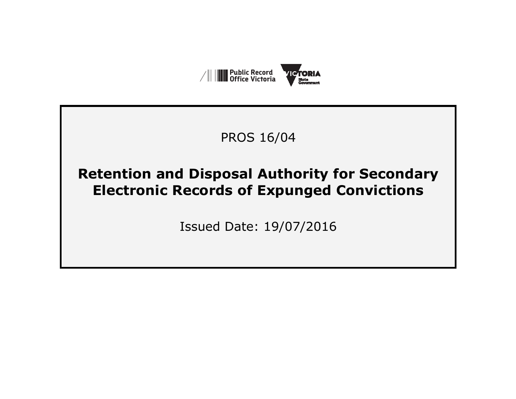

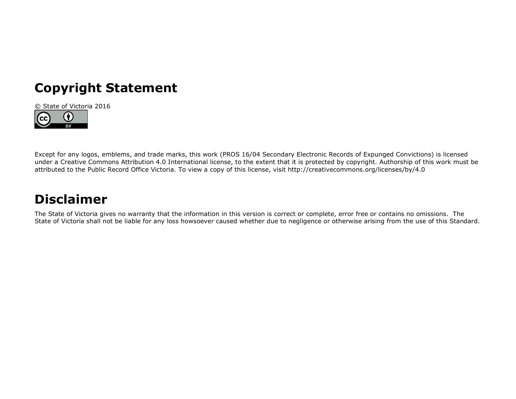# **Copyright Statement**



Except for any logos, emblems, and trade marks, this work (PROS 16/04 Secondary Electronic Records of Expunged Convictions) is licensed under a Creative Commons Attribution 4.0 International license, to the extent that it is protected by copyright. Authorship of this work must be attributed to the Public Record Office Victoria. To view a copy of this license, visit http://creativecommons.org/licenses/by/4.0

# **Disclaimer**

The State of Victoria gives no warranty that the information in this version is correct or complete, error free or contains no omissions. The State of Victoria shall not be liable for any loss howsoever caused whether due to negligence or otherwise arising from the use of this Standard.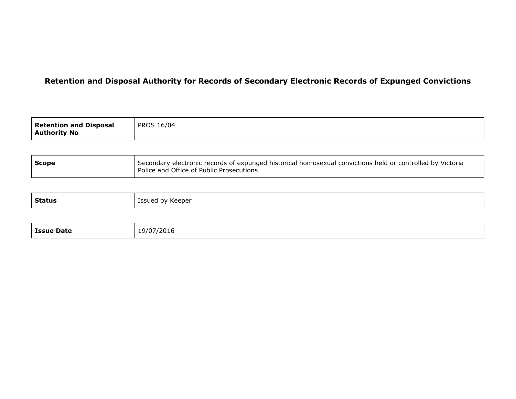| <b>Retention and Disposal</b><br><b>Authority No</b> | <b>PROS 16/04</b> |
|------------------------------------------------------|-------------------|
|------------------------------------------------------|-------------------|

| <b>Scope</b> | Secondary electronic records of expunged historical homosexual convictions held or controlled by Victoria<br>Police and Office of Public Prosecutions |
|--------------|-------------------------------------------------------------------------------------------------------------------------------------------------------|
|--------------|-------------------------------------------------------------------------------------------------------------------------------------------------------|

| <b>Status</b><br>Issued<br>∕ Keeper<br>hv.<br>. .<br>the contract of the contract of the contract of the contract of the contract of the contract of the contract of |
|----------------------------------------------------------------------------------------------------------------------------------------------------------------------|
|----------------------------------------------------------------------------------------------------------------------------------------------------------------------|

|  | <b>Issue Date</b> | 19/07/2016 |
|--|-------------------|------------|
|--|-------------------|------------|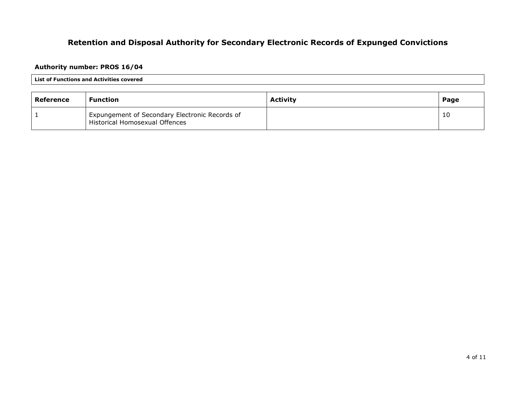## **Authority number: PROS 16/04**

#### **List of Functions and Activities covered**

| Reference | <b>Function</b>                                                                  | <b>Activity</b> | Page |
|-----------|----------------------------------------------------------------------------------|-----------------|------|
|           | Expungement of Secondary Electronic Records of<br>Historical Homosexual Offences |                 | 10   |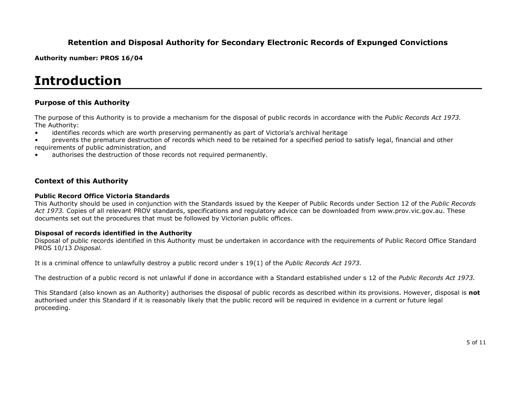**Authority number: PROS 16/04** 

# **Introduction**

## **Purpose of this Authority**

The purpose of this Authority is to provide a mechanism for the disposal of public records in accordance with the *Public Records Act 1973.* The Authority:

- identifies records which are worth preserving permanently as part of Victoria's archival heritage
- prevents the premature destruction of records which need to be retained for a specified period to satisfy legal, financial and other
- requirements of public administration, and
- authorises the destruction of those records not required permanently.

## **Context of this Authority**

#### **Public Record Office Victoria Standards**

 This Authority should be used in conjunction with the Standards issued by the Keeper of Public Records under Section 12 of the *Public Records Act 1973.* Copies of all relevant PROV standards, specifications and regulatory advice can be downloaded from www.prov.vic.gov.au. These documents set out the procedures that must be followed by Victorian public offices.

#### **Disposal of records identified in the Authority**

 Disposal of public records identified in this Authority must be undertaken in accordance with the requirements of Public Record Office Standard PROS 10/13 *Disposal.* 

It is a criminal offence to unlawfully destroy a public record under s 19(1) of the *Public Records Act 1973.* 

The destruction of a public record is not unlawful if done in accordance with a Standard established under s 12 of the *Public Records Act 1973.* 

This Standard (also known as an Authority) authorises the disposal of public records as described within its provisions. However, disposal is **not**authorised under this Standard if it is reasonably likely that the public record will be required in evidence in a current or future legal proceeding.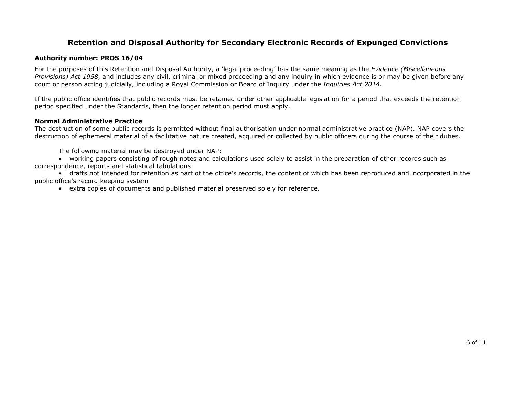#### **Authority number: PROS 16/04**

For the purposes of this Retention and Disposal Authority, a 'legal proceeding' has the same meaning as the *Evidence (Miscellaneous Provisions) Act 1958*, and includes any civil, criminal or mixed proceeding and any inquiry in which evidence is or may be given before any court or person acting judicially, including a Royal Commission or Board of Inquiry under the *Inquiries Act 2014.*

If the public office identifies that public records must be retained under other applicable legislation for a period that exceeds the retention period specified under the Standards, then the longer retention period must apply.

### **Normal Administrative Practice**

 The destruction of some public records is permitted without final authorisation under normal administrative practice (NAP). NAP covers the destruction of ephemeral material of a facilitative nature created, acquired or collected by public officers during the course of their duties.

The following material may be destroyed under NAP:

 • working papers consisting of rough notes and calculations used solely to assist in the preparation of other records such as correspondence, reports and statistical tabulations

 • drafts not intended for retention as part of the office's records, the content of which has been reproduced and incorporated in the public office's record keeping system

• extra copies of documents and published material preserved solely for reference.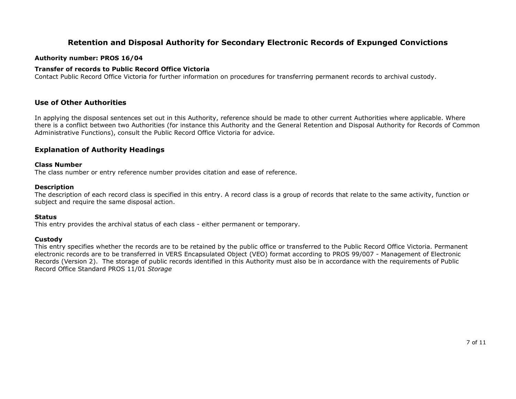#### **Authority number: PROS 16/04**

### **Transfer of records to Public Record Office Victoria**

Contact Public Record Office Victoria for further information on procedures for transferring permanent records to archival custody.

## **Use of Other Authorities**

In applying the disposal sentences set out in this Authority, reference should be made to other current Authorities where applicable. Where there is a conflict between two Authorities (for instance this Authority and the General Retention and Disposal Authority for Records of Common Administrative Functions), consult the Public Record Office Victoria for advice.

## **Explanation of Authority Headings**

#### **Class Number**

The class number or entry reference number provides citation and ease of reference.

#### **Description**

 The description of each record class is specified in this entry. A record class is a group of records that relate to the same activity, function or subject and require the same disposal action.

## **Status**

This entry provides the archival status of each class - either permanent or temporary.

## **Custody**

 This entry specifies whether the records are to be retained by the public office or transferred to the Public Record Office Victoria. Permanent electronic records are to be transferred in VERS Encapsulated Object (VEO) format according to PROS 99/007 - Management of Electronic Records (Version 2). The storage of public records identified in this Authority must also be in accordance with the requirements of Public Record Office Standard PROS 11/01 *Storage*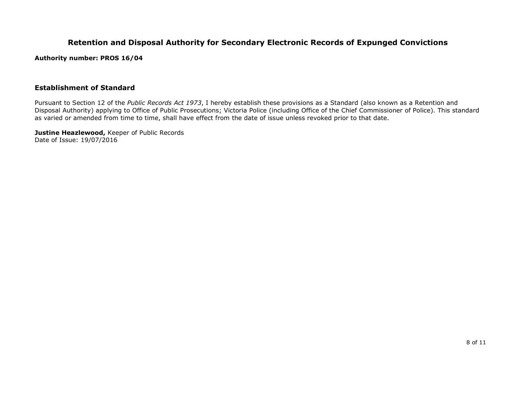**Authority number: PROS 16/04** 

### **Establishment of Standard**

Pursuant to Section 12 of the *Public Records Act 1973*, I hereby establish these provisions as a Standard (also known as a Retention and Disposal Authority) applying to Office of Public Prosecutions; Victoria Police (including Office of the Chief Commissioner of Police). This standard as varied or amended from time to time, shall have effect from the date of issue unless revoked prior to that date.

**Justine Heazlewood,** Keeper of Public Records Date of Issue: 19/07/2016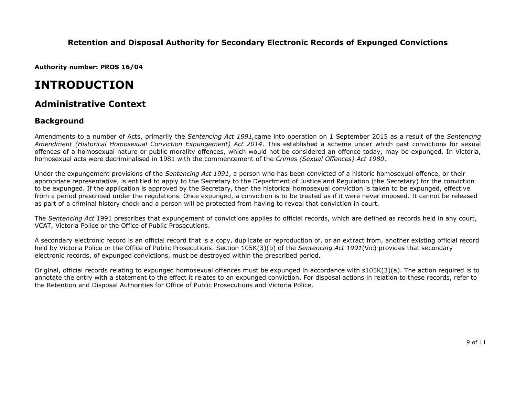**Authority number: PROS 16/04** 

# **INTRODUCTION**

# **Administrative Context**

## **Background**

Amendments to a number of Acts, primarily the *Sentencing Act 1991,*came into operation on 1 September 2015 as a result of the *Sentencing Amendment (Historical Homosexual Conviction Expungement) Act 2014*. This established a scheme under which past convictions for sexual offences of a homosexual nature or public morality offences, which would not be considered an offence today, may be expunged. In Victoria, homosexual acts were decriminalised in 1981 with the commencement of the *Crimes (Sexual Offences) Act 1980*.

Under the expungement provisions of the *Sentencing Act 1991*, a person who has been convicted of a historic homosexual offence, or their appropriate representative, is entitled to apply to the Secretary to the Department of Justice and Regulation (the Secretary) for the conviction to be expunged. If the application is approved by the Secretary, then the historical homosexual conviction is taken to be expunged, effective from a period prescribed under the regulations. Once expunged, a conviction is to be treated as if it were never imposed. It cannot be released as part of a criminal history check and a person will be protected from having to reveal that conviction in court.

The *Sentencing Act* 1991 prescribes that expungement of convictions applies to official records, which are defined as records held in any court, VCAT, Victoria Police or the Office of Public Prosecutions.

A secondary electronic record is an official record that is a copy, duplicate or reproduction of, or an extract from, another existing official record held by Victoria Police or the Office of Public Prosecutions. Section 105K(3)(b) of the *Sentencing Act 1991*(Vic) provides that secondary electronic records, of expunged convictions, must be destroyed within the prescribed period.

Original, official records relating to expunged homosexual offences must be expunged in accordance with s105K(3)(a). The action required is to annotate the entry with a statement to the effect it relates to an expunged conviction. For disposal actions in relation to these records, refer to the Retention and Disposal Authorities for Office of Public Prosecutions and Victoria Police.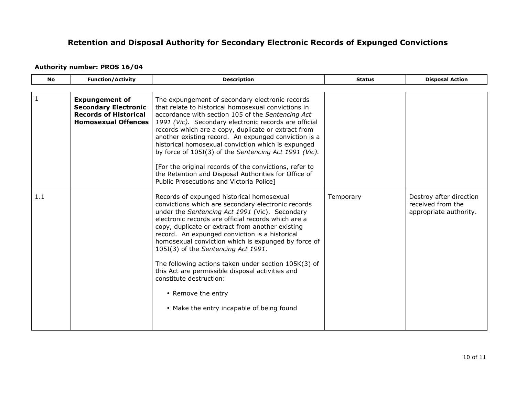## **Authority number: PROS 16/04**

| <b>No</b>    | <b>Function/Activity</b>                                                                                           | <b>Description</b>                                                                                                                                                                                                                                                                                                                                                                                                                                                                                                                                                                                                     | <b>Status</b> | <b>Disposal Action</b>                                                 |
|--------------|--------------------------------------------------------------------------------------------------------------------|------------------------------------------------------------------------------------------------------------------------------------------------------------------------------------------------------------------------------------------------------------------------------------------------------------------------------------------------------------------------------------------------------------------------------------------------------------------------------------------------------------------------------------------------------------------------------------------------------------------------|---------------|------------------------------------------------------------------------|
|              |                                                                                                                    |                                                                                                                                                                                                                                                                                                                                                                                                                                                                                                                                                                                                                        |               |                                                                        |
| $\mathbf{1}$ | <b>Expungement of</b><br><b>Secondary Electronic</b><br><b>Records of Historical</b><br><b>Homosexual Offences</b> | The expungement of secondary electronic records<br>that relate to historical homosexual convictions in<br>accordance with section 105 of the Sentencing Act<br>1991 (Vic). Secondary electronic records are official<br>records which are a copy, duplicate or extract from<br>another existing record. An expunged conviction is a<br>historical homosexual conviction which is expunged<br>by force of 105I(3) of the Sentencing Act 1991 (Vic).<br>[For the original records of the convictions, refer to<br>the Retention and Disposal Authorities for Office of<br>Public Prosecutions and Victoria Police]       |               |                                                                        |
| 1.1          |                                                                                                                    | Records of expunged historical homosexual<br>convictions which are secondary electronic records<br>under the Sentencing Act 1991 (Vic). Secondary<br>electronic records are official records which are a<br>copy, duplicate or extract from another existing<br>record. An expunged conviction is a historical<br>homosexual conviction which is expunged by force of<br>105I(3) of the Sentencing Act 1991.<br>The following actions taken under section 105K(3) of<br>this Act are permissible disposal activities and<br>constitute destruction:<br>• Remove the entry<br>• Make the entry incapable of being found | Temporary     | Destroy after direction<br>received from the<br>appropriate authority. |